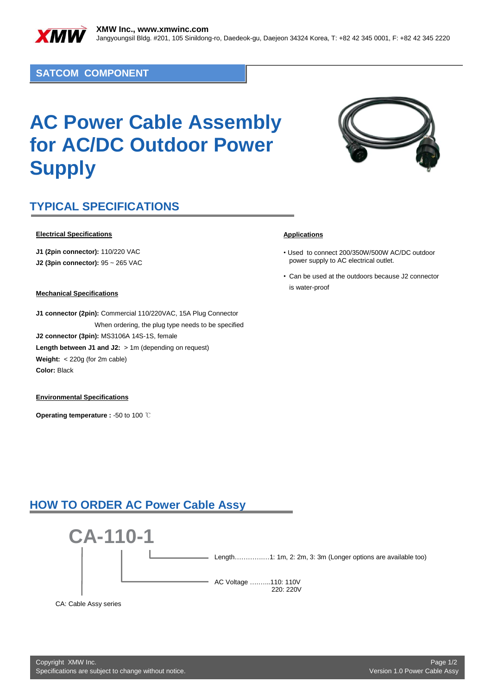

### **SATCOM COMPONENT**

# **AC Power Cable Assembly for AC/DC Outdoor Power Supply**



## **TYPICAL SPECIFICATIONS**

#### **Electrical Specifications**

**J1 (2pin connector):** 110/220 VAC

**J2 (3pin connector):** 95 ~ 265 VAC

#### **Mechanical Specifications**

**J1 connector (2pin):** Commercial 110/220VAC, 15A Plug Connector When ordering, the plug type needs to be specified **J2 connector (3pin):** MS3106A 14S-1S, female Length between J1 and J2: > 1m (depending on request) **Weight:** < 220g (for 2m cable) **Color:** Black

#### **Environmental Specifications**

**Operating temperature :** -50 to 100 ℃

#### **Applications**

- Used to connect 200/350W/500W AC/DC outdoor power supply to AC electrical outlet.
- Can be used at the outdoors because J2 connector is water-proof

### **HOW TO ORDER AC Power Cable Assy**



CA: Cable Assy series